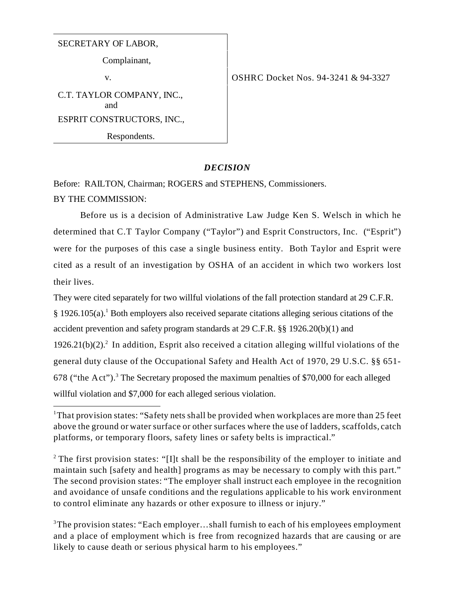## SECRETARY OF LABOR,

Complainant,

C.T. TAYLOR COMPANY, INC., and ESPRIT CONSTRUCTORS, INC., Respondents.

v. COSHRC Docket Nos. 94-3241 & 94-3327

## *DECISION*

Before: RAILTON, Chairman; ROGERS and STEPHENS, Commissioners. BY THE COMMISSION:

Before us is a decision of Administrative Law Judge Ken S. Welsch in which he determined that C.T Taylor Company ("Taylor") and Esprit Constructors, Inc. ("Esprit") were for the purposes of this case a single business entity. Both Taylor and Esprit were cited as a result of an investigation by OSHA of an accident in which two workers lost their lives.

They were cited separately for two willful violations of the fall protection standard at 29 C.F.R. § 1926.105(a).<sup>1</sup> Both employers also received separate citations alleging serious citations of the accident prevention and safety program standards at 29 C.F.R. §§ 1926.20(b)(1) and  $1926.21(b)(2).<sup>2</sup>$  In addition, Esprit also received a citation alleging willful violations of the general duty clause of the Occupational Safety and Health Act of 1970, 29 U.S.C. §§ 651- 678 ("the Act").<sup>3</sup> The Secretary proposed the maximum penalties of \$70,000 for each alleged willful violation and \$7,000 for each alleged serious violation.

<sup>2</sup> The first provision states: "[I]t shall be the responsibility of the employer to initiate and maintain such [safety and health] programs as may be necessary to comply with this part." The second provision states: "The employer shall instruct each employee in the recognition and avoidance of unsafe conditions and the regulations applicable to his work environment to control eliminate any hazards or other exposure to illness or injury."

<sup>3</sup>The provision states: "Each employer...shall furnish to each of his employees employment and a place of employment which is free from recognized hazards that are causing or are likely to cause death or serious physical harm to his employees."

<sup>&</sup>lt;sup>1</sup>That provision states: "Safety nets shall be provided when workplaces are more than 25 feet above the ground or water surface or other surfaces where the use of ladders, scaffolds, catch platforms, or temporary floors, safety lines or safety belts is impractical."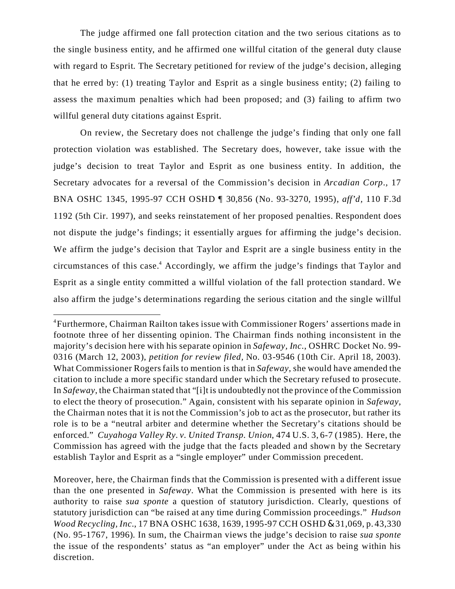The judge affirmed one fall protection citation and the two serious citations as to the single business entity, and he affirmed one willful citation of the general duty clause with regard to Esprit. The Secretary petitioned for review of the judge's decision, alleging that he erred by: (1) treating Taylor and Esprit as a single business entity; (2) failing to assess the maximum penalties which had been proposed; and (3) failing to affirm two willful general duty citations against Esprit.

On review, the Secretary does not challenge the judge's finding that only one fall protection violation was established. The Secretary does, however, take issue with the judge's decision to treat Taylor and Esprit as one business entity. In addition, the Secretary advocates for a reversal of the Commission's decision in *Arcadian Corp.,* 17 BNA OSHC 1345, 1995-97 CCH OSHD ¶ 30,856 (No. 93-3270, 1995), *aff'd,* 110 F.3d 1192 (5th Cir. 1997), and seeks reinstatement of her proposed penalties. Respondent does not dispute the judge's findings; it essentially argues for affirming the judge's decision. We affirm the judge's decision that Taylor and Esprit are a single business entity in the circumstances of this case.<sup>4</sup> Accordingly, we affirm the judge's findings that Taylor and Esprit as a single entity committed a willful violation of the fall protection standard. We also affirm the judge's determinations regarding the serious citation and the single willful

<sup>&</sup>lt;sup>4</sup>Furthermore, Chairman Railton takes issue with Commissioner Rogers' assertions made in footnote three of her dissenting opinion. The Chairman finds nothing inconsistent in the majority's decision here with his separate opinion in *Safeway, Inc.*, OSHRC Docket No. 99- 0316 (March 12, 2003), *petition for review filed,* No. 03-9546 (10th Cir. April 18, 2003). What Commissioner Rogers fails to mention is that in *Safeway*, she would have amended the citation to include a more specific standard under which the Secretary refused to prosecute. In *Safeway*, the Chairman stated that "[i]t is undoubtedly not the province of the Commission to elect the theory of prosecution." Again, consistent with his separate opinion in *Safeway*, the Chairman notes that it is not the Commission's job to act as the prosecutor, but rather its role is to be a "neutral arbiter and determine whether the Secretary's citations should be enforced." *Cuyahoga Valley Ry. v. United Transp. Union*, 474 U.S. 3, 6-7 (1985). Here, the Commission has agreed with the judge that the facts pleaded and shown by the Secretary establish Taylor and Esprit as a "single employer" under Commission precedent.

Moreover, here, the Chairman finds that the Commission is presented with a different issue than the one presented in *Safeway*. What the Commission is presented with here is its authority to raise *sua sponte* a question of statutory jurisdiction. Clearly, questions of statutory jurisdiction can "be raised at any time during Commission proceedings." *Hudson Wood Recycling, Inc.*, 17 BNA OSHC 1638, 1639, 1995-97 CCH OSHD & 31,069, p. 43,330 (No. 95-1767, 1996). In sum, the Chairman views the judge's decision to raise *sua sponte* the issue of the respondents' status as "an employer" under the Act as being within his discretion.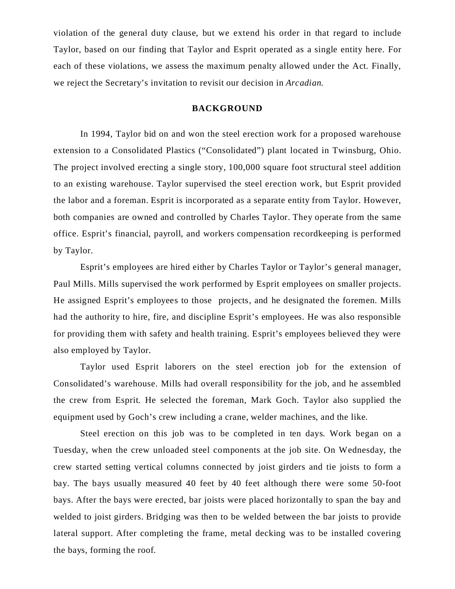violation of the general duty clause, but we extend his order in that regard to include Taylor, based on our finding that Taylor and Esprit operated as a single entity here. For each of these violations, we assess the maximum penalty allowed under the Act. Finally, we reject the Secretary's invitation to revisit our decision in *Arcadian.* 

#### **BACKGROUND**

In 1994, Taylor bid on and won the steel erection work for a proposed warehouse extension to a Consolidated Plastics ("Consolidated") plant located in Twinsburg, Ohio. The project involved erecting a single story, 100,000 square foot structural steel addition to an existing warehouse. Taylor supervised the steel erection work, but Esprit provided the labor and a foreman. Esprit is incorporated as a separate entity from Taylor. However, both companies are owned and controlled by Charles Taylor. They operate from the same office. Esprit's financial, payroll, and workers compensation recordkeeping is performed by Taylor.

Esprit's employees are hired either by Charles Taylor or Taylor's general manager, Paul Mills. Mills supervised the work performed by Esprit employees on smaller projects. He assigned Esprit's employees to those projects, and he designated the foremen. Mills had the authority to hire, fire, and discipline Esprit's employees. He was also responsible for providing them with safety and health training. Esprit's employees believed they were also employed by Taylor.

Taylor used Esprit laborers on the steel erection job for the extension of Consolidated's warehouse. Mills had overall responsibility for the job, and he assembled the crew from Esprit. He selected the foreman, Mark Goch. Taylor also supplied the equipment used by Goch's crew including a crane, welder machines, and the like.

Steel erection on this job was to be completed in ten days. Work began on a Tuesday, when the crew unloaded steel components at the job site. On Wednesday, the crew started setting vertical columns connected by joist girders and tie joists to form a bay. The bays usually measured 40 feet by 40 feet although there were some 50-foot bays. After the bays were erected, bar joists were placed horizontally to span the bay and welded to joist girders. Bridging was then to be welded between the bar joists to provide lateral support. After completing the frame, metal decking was to be installed covering the bays, forming the roof.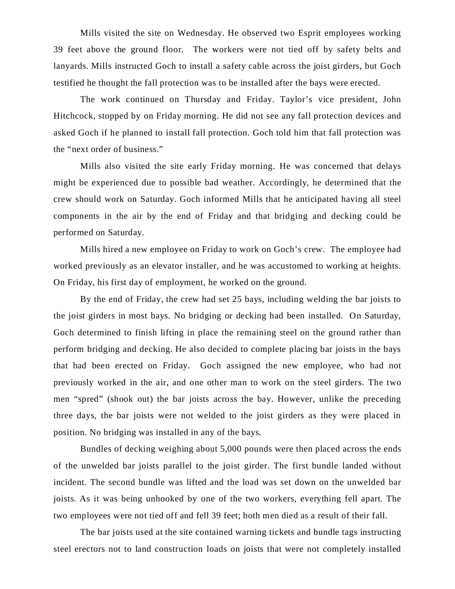Mills visited the site on Wednesday. He observed two Esprit employees working 39 feet above the ground floor. The workers were not tied off by safety belts and lanyards. Mills instructed Goch to install a safety cable across the joist girders, but Goch testified he thought the fall protection was to be installed after the bays were erected.

The work continued on Thursday and Friday. Taylor's vice president, John Hitchcock, stopped by on Friday morning. He did not see any fall protection devices and asked Goch if he planned to install fall protection. Goch told him that fall protection was the "next order of business."

Mills also visited the site early Friday morning. He was concerned that delays might be experienced due to possible bad weather. Accordingly, he determined that the crew should work on Saturday. Goch informed Mills that he anticipated having all steel components in the air by the end of Friday and that bridging and decking could be performed on Saturday.

Mills hired a new employee on Friday to work on Goch's crew. The employee had worked previously as an elevator installer, and he was accustomed to working at heights. On Friday, his first day of employment, he worked on the ground.

By the end of Friday, the crew had set 25 bays, including welding the bar joists to the joist girders in most bays. No bridging or decking had been installed. On Saturday, Goch determined to finish lifting in place the remaining steel on the ground rather than perform bridging and decking. He also decided to complete placing bar joists in the bays that had been erected on Friday. Goch assigned the new employee, who had not previously worked in the air, and one other man to work on the steel girders. The two men "spred" (shook out) the bar joists across the bay. However, unlike the preceding three days, the bar joists were not welded to the joist girders as they were placed in position. No bridging was installed in any of the bays.

Bundles of decking weighing about 5,000 pounds were then placed across the ends of the unwelded bar joists parallel to the joist girder. The first bundle landed without incident. The second bundle was lifted and the load was set down on the unwelded bar joists. As it was being unhooked by one of the two workers, everything fell apart. The two employees were not tied off and fell 39 feet; both men died as a result of their fall.

The bar joists used at the site contained warning tickets and bundle tags instructing steel erectors not to land construction loads on joists that were not completely installed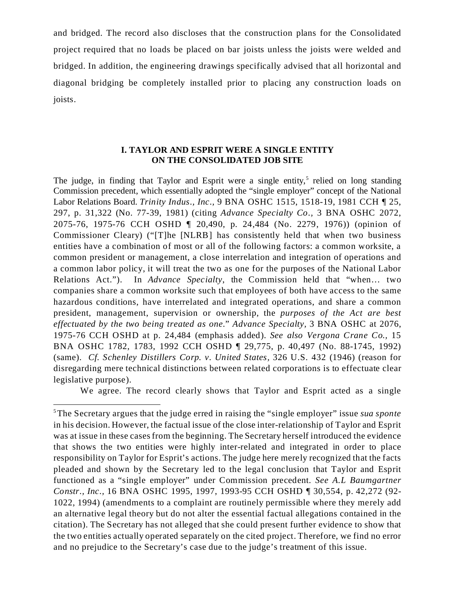and bridged. The record also discloses that the construction plans for the Consolidated project required that no loads be placed on bar joists unless the joists were welded and bridged. In addition, the engineering drawings specifically advised that all horizontal and diagonal bridging be completely installed prior to placing any construction loads on joists.

## **I. TAYLOR AND ESPRIT WERE A SINGLE ENTITY ON THE CONSOLIDATED JOB SITE**

The judge, in finding that Taylor and Esprit were a single entity,<sup>5</sup> relied on long standing Commission precedent, which essentially adopted the "single employer" concept of the National Labor Relations Board. *Trinity Indus., Inc.,* 9 BNA OSHC 1515, 1518-19, 1981 CCH ¶ 25, 297, p. 31,322 (No. 77-39, 1981) (citing *Advance Specialty Co.,* 3 BNA OSHC 2072, 2075-76, 1975-76 CCH OSHD ¶ 20,490, p. 24,484 (No. 2279, 1976)) (opinion of Commissioner Cleary) ("[T]he [NLRB] has consistently held that when two business entities have a combination of most or all of the following factors: a common worksite, a common president or management, a close interrelation and integration of operations and a common labor policy, it will treat the two as one for the purposes of the National Labor Relations Act."). In *Advance Specialty*, the Commission held that "when… two companies share a common worksite such that employees of both have access to the same hazardous conditions, have interrelated and integrated operations, and share a common president, management, supervision or ownership, the *purposes of the Act are best effectuated by the two being treated as one.*" *Advance Specialty,* 3 BNA OSHC at 2076, 1975-76 CCH OSHD at p. 24,484 (emphasis added). *See also Vergona Crane Co.,* 15 BNA OSHC 1782, 1783, 1992 CCH OSHD ¶ 29,775, p. 40,497 (No. 88-1745, 1992) (same). *Cf. Schenley Distillers Corp. v. United States,* 326 U.S. 432 (1946) (reason for disregarding mere technical distinctions between related corporations is to effectuate clear legislative purpose).

We agree. The record clearly shows that Taylor and Esprit acted as a single

<sup>5</sup>The Secretary argues that the judge erred in raising the "single employer" issue *sua sponte* in his decision. However, the factual issue of the close inter-relationship of Taylor and Esprit was at issue in these cases from the beginning. The Secretary herself introduced the evidence that shows the two entities were highly inter-related and integrated in order to place responsibility on Taylor for Esprit's actions. The judge here merely recognized that the facts pleaded and shown by the Secretary led to the legal conclusion that Taylor and Esprit functioned as a "single employer" under Commission precedent. *See A.L Baumgartner Constr., Inc.,* 16 BNA OSHC 1995, 1997, 1993-95 CCH OSHD ¶ 30,554, p. 42,272 (92- 1022, 1994) (amendments to a complaint are routinely permissible where they merely add an alternative legal theory but do not alter the essential factual allegations contained in the citation). The Secretary has not alleged that she could present further evidence to show that the two entities actually operated separately on the cited project. Therefore, we find no error and no prejudice to the Secretary's case due to the judge's treatment of this issue.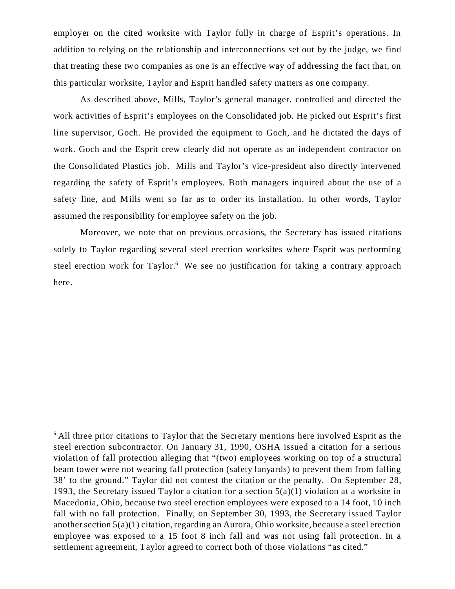employer on the cited worksite with Taylor fully in charge of Esprit's operations. In addition to relying on the relationship and interconnections set out by the judge, we find that treating these two companies as one is an effective way of addressing the fact that, on this particular worksite, Taylor and Esprit handled safety matters as one company.

As described above, Mills, Taylor's general manager, controlled and directed the work activities of Esprit's employees on the Consolidated job. He picked out Esprit's first line supervisor, Goch. He provided the equipment to Goch, and he dictated the days of work. Goch and the Esprit crew clearly did not operate as an independent contractor on the Consolidated Plastics job. Mills and Taylor's vice-president also directly intervened regarding the safety of Esprit's employees. Both managers inquired about the use of a safety line, and Mills went so far as to order its installation. In other words, Taylor assumed the responsibility for employee safety on the job.

Moreover, we note that on previous occasions, the Secretary has issued citations solely to Taylor regarding several steel erection worksites where Esprit was performing steel erection work for Taylor.<sup>6</sup> We see no justification for taking a contrary approach here.

 $6$  All three prior citations to Taylor that the Secretary mentions here involved Esprit as the steel erection subcontractor. On January 31, 1990, OSHA issued a citation for a serious violation of fall protection alleging that "(two) employees working on top of a structural beam tower were not wearing fall protection (safety lanyards) to prevent them from falling 38' to the ground." Taylor did not contest the citation or the penalty. On September 28, 1993, the Secretary issued Taylor a citation for a section  $5(a)(1)$  violation at a worksite in Macedonia, Ohio, because two steel erection employees were exposed to a 14 foot, 10 inch fall with no fall protection. Finally, on September 30, 1993, the Secretary issued Taylor another section 5(a)(1) citation, regarding an Aurora, Ohio worksite, because a steel erection employee was exposed to a 15 foot 8 inch fall and was not using fall protection. In a settlement agreement, Taylor agreed to correct both of those violations "as cited."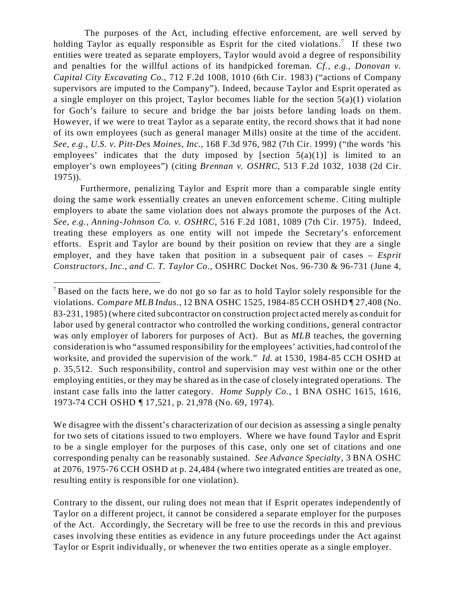The purposes of the Act, including effective enforcement, are well served by holding Taylor as equally responsible as Esprit for the cited violations.<sup>7</sup> If these two entities were treated as separate employers, Taylor would avoid a degree of responsibility and penalties for the willful actions of its handpicked foreman. *Cf., e.g., Donovan v. Capital City Excavating Co.*, 712 F.2d 1008, 1010 (6th Cir. 1983) ("actions of Company supervisors are imputed to the Company"). Indeed, because Taylor and Esprit operated as a single employer on this project, Taylor becomes liable for the section 5(a)(1) violation for Goch's failure to secure and bridge the bar joists before landing loads on them. However, if we were to treat Taylor as a separate entity, the record shows that it had none of its own employees (such as general manager Mills) onsite at the time of the accident. *See, e.g., U.S. v. Pitt-Des Moines, Inc.*, 168 F.3d 976, 982 (7th Cir. 1999) ("the words 'his employees' indicates that the duty imposed by [section  $5(a)(1)$ ] is limited to an employer's own employees") (citing *Brennan v. OSHRC*, 513 F.2d 1032, 1038 (2d Cir. 1975)).

Furthermore, penalizing Taylor and Esprit more than a comparable single entity doing the same work essentially creates an uneven enforcement scheme. Citing multiple employers to abate the same violation does not always promote the purposes of the Act. *See, e.g., Anning-Johnson Co. v. OSHRC*, 516 F.2d 1081, 1089 (7th Cir. 1975). Indeed, treating these employers as one entity will not impede the Secretary's enforcement efforts. Esprit and Taylor are bound by their position on review that they are a single employer, and they have taken that position in a subsequent pair of cases – *Esprit Constructors, Inc., and C. T. Taylor Co.*, OSHRC Docket Nos. 96-730 & 96-731 (June 4,

We disagree with the dissent's characterization of our decision as assessing a single penalty for two sets of citations issued to two employers. Where we have found Taylor and Esprit to be a single employer for the purposes of this case, only one set of citations and one corresponding penalty can be reasonably sustained. *See Advance Specialty*, 3 BNA OSHC at 2076, 1975-76 CCH OSHD at p. 24,484 (where two integrated entities are treated as one, resulting entity is responsible for one violation).

Contrary to the dissent, our ruling does not mean that if Esprit operates independently of Taylor on a different project, it cannot be considered a separate employer for the purposes of the Act. Accordingly, the Secretary will be free to use the records in this and previous cases involving these entities as evidence in any future proceedings under the Act against Taylor or Esprit individually, or whenever the two entities operate as a single employer.

<sup>&</sup>lt;sup>7</sup> Based on the facts here, we do not go so far as to hold Taylor solely responsible for the violations. *Compare MLB Indus.*, 12 BNA OSHC 1525, 1984-85 CCH OSHD ¶ 27,408 (No. 83-231, 1985) (where cited subcontractor on construction project acted merely as conduit for labor used by general contractor who controlled the working conditions, general contractor was only employer of laborers for purposes of Act). But as *MLB* teaches, the governing consideration is who "assumed responsibility for the employees' activities, had control of the worksite, and provided the supervision of the work." *Id.* at 1530, 1984-85 CCH OSHD at p. 35,512. Such responsibility, control and supervision may vest within one or the other employing entities, or they may be shared as in the case of closely integrated operations. The instant case falls into the latter category. *Home Supply Co.*, 1 BNA OSHC 1615, 1616, 1973-74 CCH OSHD ¶ 17,521, p. 21,978 (No. 69, 1974).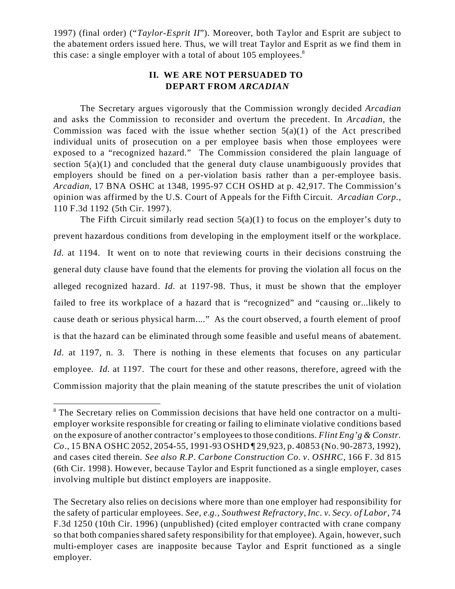1997) (final order) ("*Taylor-Esprit II*"). Moreover, both Taylor and Esprit are subject to the abatement orders issued here. Thus, we will treat Taylor and Esprit as we find them in this case: a single employer with a total of about  $105$  employees.<sup>8</sup>

# **II. WE ARE NOT PERSUADED TO DEPART FROM** *ARCADIAN*

The Secretary argues vigorously that the Commission wrongly decided *Arcadian* and asks the Commission to reconsider and overturn the precedent. In *Arcadian,* the Commission was faced with the issue whether section  $5(a)(1)$  of the Act prescribed individual units of prosecution on a per employee basis when those employees were exposed to a "recognized hazard." The Commission considered the plain language of section  $5(a)(1)$  and concluded that the general duty clause unambiguously provides that employers should be fined on a per-violation basis rather than a per-employee basis. *Arcadian*, 17 BNA OSHC at 1348, 1995-97 CCH OSHD at p. 42,917. The Commission's opinion was affirmed by the U.S. Court of Appeals for the Fifth Circuit. *Arcadian Corp.*, 110 F.3d 1192 (5th Cir. 1997).

The Fifth Circuit similarly read section  $5(a)(1)$  to focus on the employer's duty to prevent hazardous conditions from developing in the employment itself or the workplace. *Id.* at 1194. It went on to note that reviewing courts in their decisions construing the general duty clause have found that the elements for proving the violation all focus on the alleged recognized hazard. *Id.* at 1197-98. Thus, it must be shown that the employer failed to free its workplace of a hazard that is "recognized" and "causing or...likely to cause death or serious physical harm...." As the court observed, a fourth element of proof is that the hazard can be eliminated through some feasible and useful means of abatement. *Id.* at 1197, n. 3. There is nothing in these elements that focuses on any particular employee. *Id.* at 1197. The court for these and other reasons, therefore, agreed with the Commission majority that the plain meaning of the statute prescribes the unit of violation

<sup>&</sup>lt;sup>8</sup> The Secretary relies on Commission decisions that have held one contractor on a multiemployer worksite responsible for creating or failing to eliminate violative conditions based on the exposure of another contractor's employees to those conditions. *Flint Eng'g & Constr. Co.,* 15 BNA OSHC 2052, 2054-55, 1991-93 OSHD ¶ 29,923, p. 40853 (No. 90-2873, 1992), and cases cited therein. *See also R.P. Carbone Construction Co. v. OSHRC,* 166 F. 3d 815 (6th Cir. 1998). However, because Taylor and Esprit functioned as a single employer, cases involving multiple but distinct employers are inapposite.

The Secretary also relies on decisions where more than one employer had responsibility for the safety of particular employees. *See, e.g., Southwest Refractory, Inc. v. Secy. of Labor,* 74 F.3d 1250 (10th Cir. 1996) (unpublished) (cited employer contracted with crane company so that both companies shared safety responsibility for that employee). Again, however, such multi-employer cases are inapposite because Taylor and Esprit functioned as a single employer.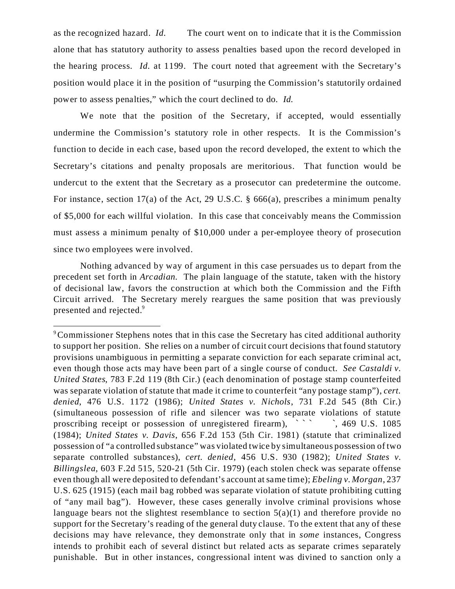as the recognized hazard. *Id.* The court went on to indicate that it is the Commission alone that has statutory authority to assess penalties based upon the record developed in the hearing process. *Id.* at 1199. The court noted that agreement with the Secretary's position would place it in the position of "usurping the Commission's statutorily ordained power to assess penalties," which the court declined to do. *Id.* 

We note that the position of the Secretary, if accepted, would essentially undermine the Commission's statutory role in other respects. It is the Commission's function to decide in each case, based upon the record developed, the extent to which the Secretary's citations and penalty proposals are meritorious. That function would be undercut to the extent that the Secretary as a prosecutor can predetermine the outcome. For instance, section 17(a) of the Act, 29 U.S.C. § 666(a), prescribes a minimum penalty of \$5,000 for each willful violation. In this case that conceivably means the Commission must assess a minimum penalty of \$10,000 under a per-employee theory of prosecution since two employees were involved.

Nothing advanced by way of argument in this case persuades us to depart from the precedent set forth in *Arcadian.* The plain language of the statute, taken with the history of decisional law, favors the construction at which both the Commission and the Fifth Circuit arrived. The Secretary merely reargues the same position that was previously presented and rejected.<sup>9</sup>

<sup>&</sup>lt;sup>9</sup>Commissioner Stephens notes that in this case the Secretary has cited additional authority to support her position. She relies on a number of circuit court decisions that found statutory provisions unambiguous in permitting a separate conviction for each separate criminal act, even though those acts may have been part of a single course of conduct. *See Castaldi v. United States*, 783 F.2d 119 (8th Cir.) (each denomination of postage stamp counterfeited was separate violation of statute that made it crime to counterfeit "any postage stamp"), *cert. denied*, 476 U.S. 1172 (1986); *United States v. Nichols*, 731 F.2d 545 (8th Cir.) (simultaneous possession of rifle and silencer was two separate violations of statute proscribing receipt or possession of unregistered firearm),  $\cdot$ , 469 U.S. 1085 (1984); *United States v. Davis*, 656 F.2d 153 (5th Cir. 1981) (statute that criminalized possession of "a controlled substance" was violated twice by simultaneous possession of two separate controlled substances), *cert. denied*, 456 U.S. 930 (1982); *United States v. Billingslea*, 603 F.2d 515, 520-21 (5th Cir. 1979) (each stolen check was separate offense even though all were deposited to defendant's account at same time); *Ebeling v. Morgan*, 237 U.S. 625 (1915) (each mail bag robbed was separate violation of statute prohibiting cutting of "any mail bag"). However, these cases generally involve criminal provisions whose language bears not the slightest resemblance to section  $5(a)(1)$  and therefore provide no support for the Secretary's reading of the general duty clause. To the extent that any of these decisions may have relevance, they demonstrate only that in *some* instances, Congress intends to prohibit each of several distinct but related acts as separate crimes separately punishable. But in other instances, congressional intent was divined to sanction only a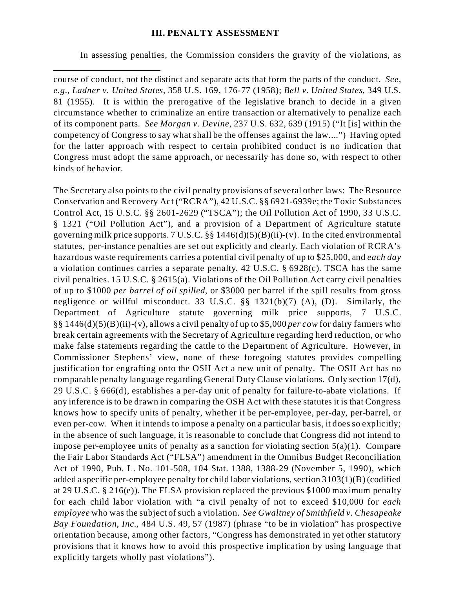## **III. PENALTY ASSESSMENT**

In assessing penalties, the Commission considers the gravity of the violations, as

course of conduct, not the distinct and separate acts that form the parts of the conduct. *See, e.g.*, *Ladner v. United States*, 358 U.S. 169, 176-77 (1958); *Bell v. United States*, 349 U.S. 81 (1955). It is within the prerogative of the legislative branch to decide in a given circumstance whether to criminalize an entire transaction or alternatively to penalize each of its component parts. *See Morgan v. Devine*, 237 U.S. 632, 639 (1915) ("It [is] within the competency of Congress to say what shall be the offenses against the law....") Having opted for the latter approach with respect to certain prohibited conduct is no indication that Congress must adopt the same approach, or necessarily has done so, with respect to other kinds of behavior.

The Secretary also points to the civil penalty provisions of several other laws: The Resource Conservation and Recovery Act ("RCRA"), 42 U.S.C. §§ 6921-6939e; the Toxic Substances Control Act, 15 U.S.C. §§ 2601-2629 ("TSCA"); the Oil Pollution Act of 1990, 33 U.S.C. § 1321 ("Oil Pollution Act"), and a provision of a Department of Agriculture statute governing milk price supports. 7 U.S.C. §§ 1446(d)(5)(B)(ii)-(v). In the cited environmental statutes, per-instance penalties are set out explicitly and clearly. Each violation of RCRA's hazardous waste requirements carries a potential civil penalty of up to \$25,000, and *each day* a violation continues carries a separate penalty. 42 U.S.C. § 6928(c). TSCA has the same civil penalties. 15 U.S.C. § 2615(a). Violations of the Oil Pollution Act carry civil penalties of up to \$1000 *per barrel of oil spilled*, or \$3000 per barrel if the spill results from gross negligence or willful misconduct. 33 U.S.C. §§ 1321(b)(7) (A), (D). Similarly, the Department of Agriculture statute governing milk price supports, 7 U.S.C. §§ 1446(d)(5)(B)(ii)-(v), allows a civil penalty of up to \$5,000 *per cow* for dairy farmers who break certain agreements with the Secretary of Agriculture regarding herd reduction, or who make false statements regarding the cattle to the Department of Agriculture. However, in Commissioner Stephens' view, none of these foregoing statutes provides compelling justification for engrafting onto the OSH Act a new unit of penalty. The OSH Act has no comparable penalty language regarding General Duty Clause violations. Only section 17(d), 29 U.S.C. § 666(d), establishes a per-day unit of penalty for failure-to-abate violations. If any inference is to be drawn in comparing the OSH Act with these statutes it is that Congress knows how to specify units of penalty, whether it be per-employee, per-day, per-barrel, or even per-cow. When it intends to impose a penalty on a particular basis, it does so explicitly; in the absence of such language, it is reasonable to conclude that Congress did not intend to impose per-employee units of penalty as a sanction for violating section  $5(a)(1)$ . Compare the Fair Labor Standards Act ("FLSA") amendment in the Omnibus Budget Reconciliation Act of 1990, Pub. L. No. 101-508, 104 Stat. 1388, 1388-29 (November 5, 1990), which added a specific per-employee penalty for child labor violations, section 3103(1)(B) (codified at 29 U.S.C. § 216(e)). The FLSA provision replaced the previous \$1000 maximum penalty for each child labor violation with "a civil penalty of not to exceed \$10,000 for *each employee* who was the subject of such a violation. *See Gwaltney of Smithfield v. Chesapeake Bay Foundation, Inc.*, 484 U.S. 49, 57 (1987) (phrase "to be in violation" has prospective orientation because, among other factors, "Congress has demonstrated in yet other statutory provisions that it knows how to avoid this prospective implication by using language that explicitly targets wholly past violations").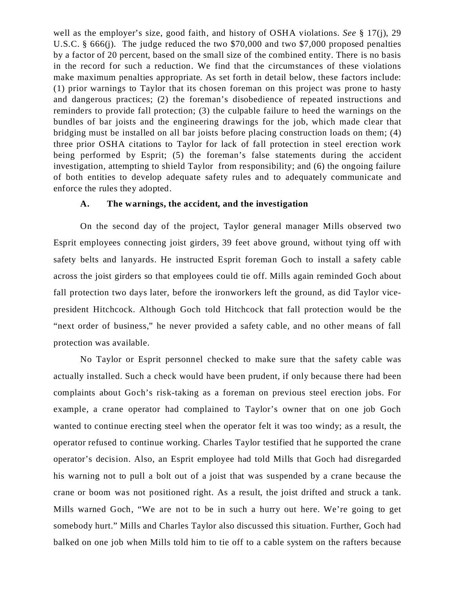well as the employer's size, good faith, and history of OSHA violations. *See* § 17(j), 29 U.S.C. § 666(j). The judge reduced the two \$70,000 and two \$7,000 proposed penalties by a factor of 20 percent, based on the small size of the combined entity. There is no basis in the record for such a reduction. We find that the circumstances of these violations make maximum penalties appropriate. As set forth in detail below, these factors include: (1) prior warnings to Taylor that its chosen foreman on this project was prone to hasty and dangerous practices; (2) the foreman's disobedience of repeated instructions and reminders to provide fall protection; (3) the culpable failure to heed the warnings on the bundles of bar joists and the engineering drawings for the job, which made clear that bridging must be installed on all bar joists before placing construction loads on them; (4) three prior OSHA citations to Taylor for lack of fall protection in steel erection work being performed by Esprit; (5) the foreman's false statements during the accident investigation, attempting to shield Taylor from responsibility; and (6) the ongoing failure of both entities to develop adequate safety rules and to adequately communicate and enforce the rules they adopted.

### **A. The warnings, the accident, and the investigation**

On the second day of the project, Taylor general manager Mills observed two Esprit employees connecting joist girders, 39 feet above ground, without tying off with safety belts and lanyards. He instructed Esprit foreman Goch to install a safety cable across the joist girders so that employees could tie off. Mills again reminded Goch about fall protection two days later, before the ironworkers left the ground, as did Taylor vicepresident Hitchcock. Although Goch told Hitchcock that fall protection would be the "next order of business," he never provided a safety cable, and no other means of fall protection was available.

No Taylor or Esprit personnel checked to make sure that the safety cable was actually installed. Such a check would have been prudent, if only because there had been complaints about Goch's risk-taking as a foreman on previous steel erection jobs. For example, a crane operator had complained to Taylor's owner that on one job Goch wanted to continue erecting steel when the operator felt it was too windy; as a result, the operator refused to continue working. Charles Taylor testified that he supported the crane operator's decision. Also, an Esprit employee had told Mills that Goch had disregarded his warning not to pull a bolt out of a joist that was suspended by a crane because the crane or boom was not positioned right. As a result, the joist drifted and struck a tank. Mills warned Goch, "We are not to be in such a hurry out here. We're going to get somebody hurt." Mills and Charles Taylor also discussed this situation. Further, Goch had balked on one job when Mills told him to tie off to a cable system on the rafters because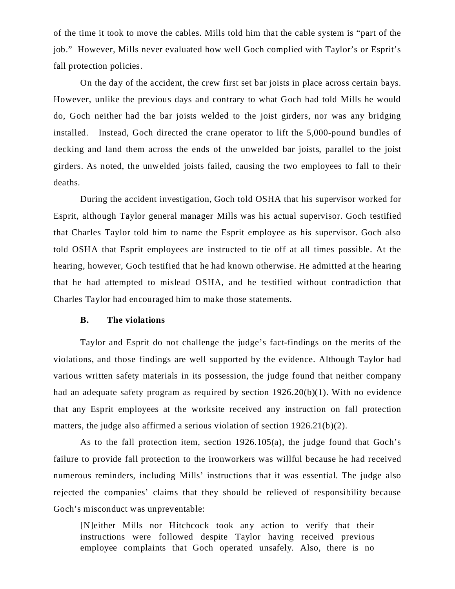of the time it took to move the cables. Mills told him that the cable system is "part of the job." However, Mills never evaluated how well Goch complied with Taylor's or Esprit's fall protection policies.

On the day of the accident, the crew first set bar joists in place across certain bays. However, unlike the previous days and contrary to what Goch had told Mills he would do, Goch neither had the bar joists welded to the joist girders, nor was any bridging installed. Instead, Goch directed the crane operator to lift the 5,000-pound bundles of decking and land them across the ends of the unwelded bar joists, parallel to the joist girders. As noted, the unwelded joists failed, causing the two employees to fall to their deaths.

During the accident investigation, Goch told OSHA that his supervisor worked for Esprit, although Taylor general manager Mills was his actual supervisor. Goch testified that Charles Taylor told him to name the Esprit employee as his supervisor. Goch also told OSHA that Esprit employees are instructed to tie off at all times possible. At the hearing, however, Goch testified that he had known otherwise. He admitted at the hearing that he had attempted to mislead OSHA, and he testified without contradiction that Charles Taylor had encouraged him to make those statements.

### **B. The violations**

Taylor and Esprit do not challenge the judge's fact-findings on the merits of the violations, and those findings are well supported by the evidence. Although Taylor had various written safety materials in its possession, the judge found that neither company had an adequate safety program as required by section 1926.20(b)(1). With no evidence that any Esprit employees at the worksite received any instruction on fall protection matters, the judge also affirmed a serious violation of section 1926.21(b)(2).

As to the fall protection item, section 1926.105(a), the judge found that Goch's failure to provide fall protection to the ironworkers was willful because he had received numerous reminders, including Mills' instructions that it was essential. The judge also rejected the companies' claims that they should be relieved of responsibility because Goch's misconduct was unpreventable:

[N]either Mills nor Hitchcock took any action to verify that their instructions were followed despite Taylor having received previous employee complaints that Goch operated unsafely. Also, there is no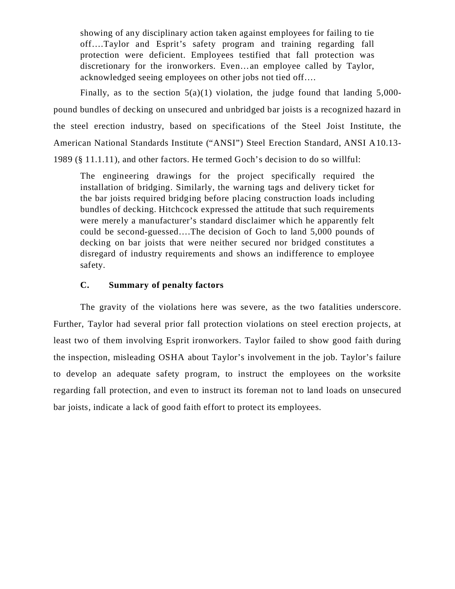showing of any disciplinary action taken against employees for failing to tie off….Taylor and Esprit's safety program and training regarding fall protection were deficient. Employees testified that fall protection was discretionary for the ironworkers. Even…an employee called by Taylor, acknowledged seeing employees on other jobs not tied off….

Finally, as to the section  $5(a)(1)$  violation, the judge found that landing  $5,000$ pound bundles of decking on unsecured and unbridged bar joists is a recognized hazard in the steel erection industry, based on specifications of the Steel Joist Institute, the American National Standards Institute ("ANSI") Steel Erection Standard, ANSI A10.13- 1989 (§ 11.1.11), and other factors. He termed Goch's decision to do so willful:

The engineering drawings for the project specifically required the installation of bridging. Similarly, the warning tags and delivery ticket for the bar joists required bridging before placing construction loads including bundles of decking. Hitchcock expressed the attitude that such requirements were merely a manufacturer's standard disclaimer which he apparently felt could be second-guessed….The decision of Goch to land 5,000 pounds of decking on bar joists that were neither secured nor bridged constitutes a disregard of industry requirements and shows an indifference to employee safety.

### **C. Summary of penalty factors**

The gravity of the violations here was severe, as the two fatalities underscore. Further, Taylor had several prior fall protection violations on steel erection projects, at least two of them involving Esprit ironworkers. Taylor failed to show good faith during the inspection, misleading OSHA about Taylor's involvement in the job. Taylor's failure to develop an adequate safety program, to instruct the employees on the worksite regarding fall protection, and even to instruct its foreman not to land loads on unsecured bar joists, indicate a lack of good faith effort to protect its employees.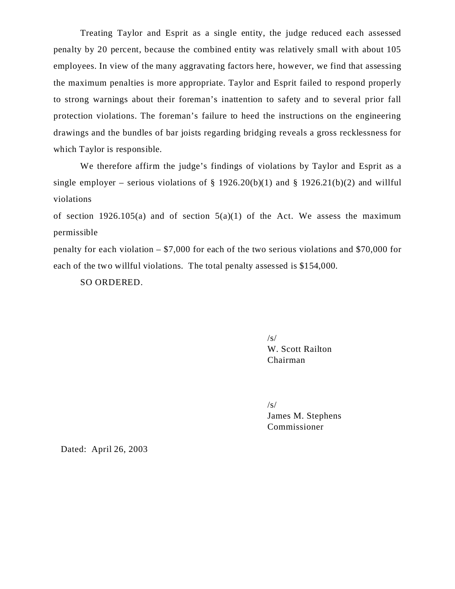Treating Taylor and Esprit as a single entity, the judge reduced each assessed penalty by 20 percent, because the combined entity was relatively small with about 105 employees. In view of the many aggravating factors here, however, we find that assessing the maximum penalties is more appropriate. Taylor and Esprit failed to respond properly to strong warnings about their foreman's inattention to safety and to several prior fall protection violations. The foreman's failure to heed the instructions on the engineering drawings and the bundles of bar joists regarding bridging reveals a gross recklessness for which Taylor is responsible.

We therefore affirm the judge's findings of violations by Taylor and Esprit as a single employer – serious violations of § 1926.20(b)(1) and § 1926.21(b)(2) and willful violations

of section 1926.105(a) and of section  $5(a)(1)$  of the Act. We assess the maximum permissible

penalty for each violation – \$7,000 for each of the two serious violations and \$70,000 for each of the two willful violations. The total penalty assessed is \$154,000.

SO ORDERED.

/s/ W. Scott Railton Chairman

/s/

James M. Stephens Commissioner

Dated: April 26, 2003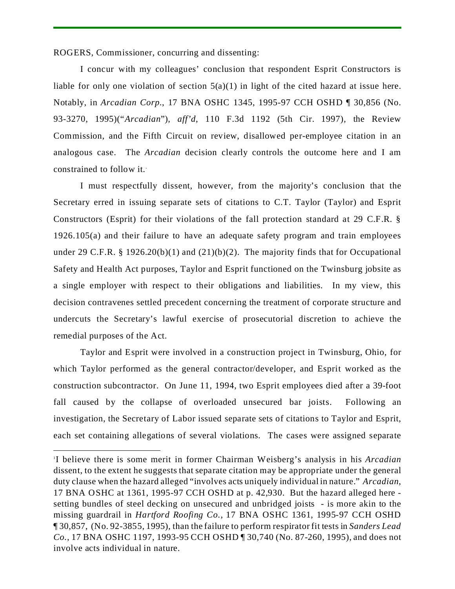ROGERS, Commissioner, concurring and dissenting:

I concur with my colleagues' conclusion that respondent Esprit Constructors is liable for only one violation of section  $5(a)(1)$  in light of the cited hazard at issue here. Notably, in *Arcadian Corp.*, 17 BNA OSHC 1345, 1995-97 CCH OSHD ¶ 30,856 (No. 93-3270, 1995)("*Arcadian*"), *aff'd*, 110 F.3d 1192 (5th Cir. 1997), the Review Commission, and the Fifth Circuit on review, disallowed per-employee citation in an analogous case. The *Arcadian* decision clearly controls the outcome here and I am constrained to follow it..

I must respectfully dissent, however, from the majority's conclusion that the Secretary erred in issuing separate sets of citations to C.T. Taylor (Taylor) and Esprit Constructors (Esprit) for their violations of the fall protection standard at 29 C.F.R. § 1926.105(a) and their failure to have an adequate safety program and train employees under 29 C.F.R. § 1926.20(b)(1) and (21)(b)(2). The majority finds that for Occupational Safety and Health Act purposes, Taylor and Esprit functioned on the Twinsburg jobsite as a single employer with respect to their obligations and liabilities. In my view, this decision contravenes settled precedent concerning the treatment of corporate structure and undercuts the Secretary's lawful exercise of prosecutorial discretion to achieve the remedial purposes of the Act.

Taylor and Esprit were involved in a construction project in Twinsburg, Ohio, for which Taylor performed as the general contractor/developer, and Esprit worked as the construction subcontractor. On June 11, 1994, two Esprit employees died after a 39-foot fall caused by the collapse of overloaded unsecured bar joists. Following an investigation, the Secretary of Labor issued separate sets of citations to Taylor and Esprit, each set containing allegations of several violations. The cases were assigned separate

<sup>1</sup> I believe there is some merit in former Chairman Weisberg's analysis in his *Arcadian* dissent, to the extent he suggests that separate citation may be appropriate under the general duty clause when the hazard alleged "involves acts uniquely individual in nature." *Arcadian*, 17 BNA OSHC at 1361, 1995-97 CCH OSHD at p. 42,930. But the hazard alleged here setting bundles of steel decking on unsecured and unbridged joists - is more akin to the missing guardrail in *Hartford Roofing Co*., 17 BNA OSHC 1361, 1995-97 CCH OSHD ¶ 30,857, (No. 92-3855, 1995), than the failure to perform respirator fit tests in *Sanders Lead Co.*, 17 BNA OSHC 1197, 1993-95 CCH OSHD ¶ 30,740 (No. 87-260, 1995), and does not involve acts individual in nature.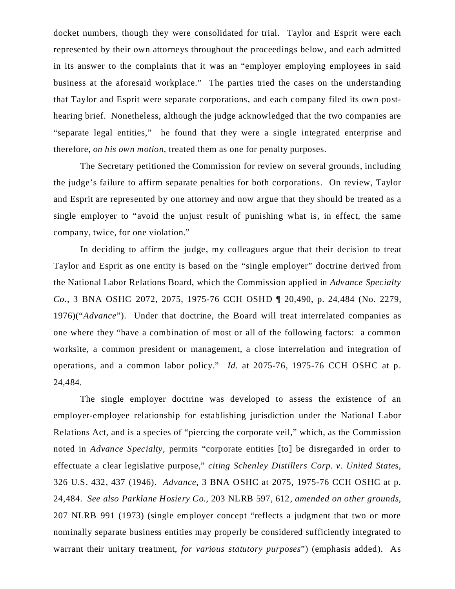docket numbers, though they were consolidated for trial. Taylor and Esprit were each represented by their own attorneys throughout the proceedings below, and each admitted in its answer to the complaints that it was an "employer employing employees in said business at the aforesaid workplace." The parties tried the cases on the understanding that Taylor and Esprit were separate corporations, and each company filed its own posthearing brief. Nonetheless, although the judge acknowledged that the two companies are "separate legal entities," he found that they were a single integrated enterprise and therefore, *on his own motion,* treated them as one for penalty purposes.

The Secretary petitioned the Commission for review on several grounds, including the judge's failure to affirm separate penalties for both corporations. On review, Taylor and Esprit are represented by one attorney and now argue that they should be treated as a single employer to "avoid the unjust result of punishing what is, in effect, the same company, twice, for one violation."

In deciding to affirm the judge, my colleagues argue that their decision to treat Taylor and Esprit as one entity is based on the "single employer" doctrine derived from the National Labor Relations Board, which the Commission applied in *Advance Specialty Co.*, 3 BNA OSHC 2072, 2075, 1975-76 CCH OSHD ¶ 20,490, p. 24,484 (No. 2279, 1976)("*Advance*"). Under that doctrine, the Board will treat interrelated companies as one where they "have a combination of most or all of the following factors: a common worksite, a common president or management, a close interrelation and integration of operations, and a common labor policy." *Id.* at 2075-76, 1975-76 CCH OSHC at p. 24,484.

The single employer doctrine was developed to assess the existence of an employer-employee relationship for establishing jurisdiction under the National Labor Relations Act, and is a species of "piercing the corporate veil," which, as the Commission noted in *Advance Specialty,* permits "corporate entities [to] be disregarded in order to effectuate a clear legislative purpose," *citing Schenley Distillers Corp. v. United States*, 326 U.S. 432, 437 (1946). *Advance*, 3 BNA OSHC at 2075, 1975-76 CCH OSHC at p. 24,484. *See also Parklane Hosiery Co.,* 203 NLRB 597, 612, *amended on other grounds*, 207 NLRB 991 (1973) (single employer concept "reflects a judgment that two or more nominally separate business entities may properly be considered sufficiently integrated to warrant their unitary treatment, *for various statutory purposes*") (emphasis added). As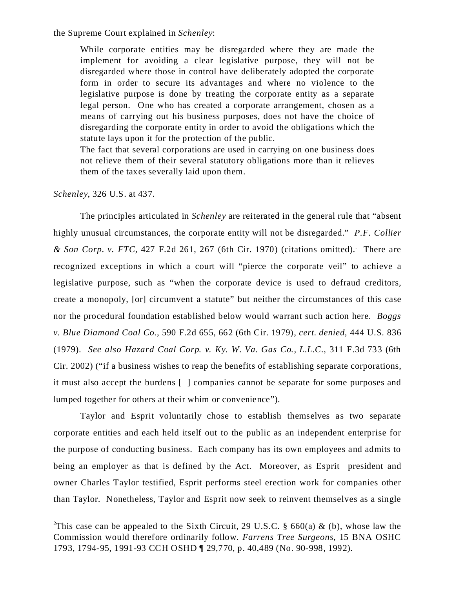the Supreme Court explained in *Schenley*:

While corporate entities may be disregarded where they are made the implement for avoiding a clear legislative purpose, they will not be disregarded where those in control have deliberately adopted the corporate form in order to secure its advantages and where no violence to the legislative purpose is done by treating the corporate entity as a separate legal person. One who has created a corporate arrangement, chosen as a means of carrying out his business purposes, does not have the choice of disregarding the corporate entity in order to avoid the obligations which the statute lays upon it for the protection of the public.

The fact that several corporations are used in carrying on one business does not relieve them of their several statutory obligations more than it relieves them of the taxes severally laid upon them.

*Schenley*, 326 U.S. at 437.

The principles articulated in *Schenley* are reiterated in the general rule that "absent highly unusual circumstances, the corporate entity will not be disregarded." *P.F. Collier & Son Corp. v. FTC*, 427 F.2d 261, 267 (6th Cir. 1970) (citations omitted).. There are recognized exceptions in which a court will "pierce the corporate veil" to achieve a legislative purpose, such as "when the corporate device is used to defraud creditors, create a monopoly, [or] circumvent a statute" but neither the circumstances of this case nor the procedural foundation established below would warrant such action here. *Boggs v. Blue Diamond Coal Co.*, 590 F.2d 655, 662 (6th Cir. 1979), *cert. denied*, 444 U.S. 836 (1979). *See also Hazard Coal Corp. v. Ky. W. Va. Gas Co., L.L.C.*, 311 F.3d 733 (6th Cir. 2002) ("if a business wishes to reap the benefits of establishing separate corporations, it must also accept the burdens [ ] companies cannot be separate for some purposes and lumped together for others at their whim or convenience").

Taylor and Esprit voluntarily chose to establish themselves as two separate corporate entities and each held itself out to the public as an independent enterprise for the purpose of conducting business. Each company has its own employees and admits to being an employer as that is defined by the Act. Moreover, as Esprit president and owner Charles Taylor testified, Esprit performs steel erection work for companies other than Taylor. Nonetheless, Taylor and Esprit now seek to reinvent themselves as a single

<sup>&</sup>lt;sup>2</sup>This case can be appealed to the Sixth Circuit, 29 U.S.C. § 660(a) & (b), whose law the Commission would therefore ordinarily follow. *Farrens Tree Surgeons*, 15 BNA OSHC 1793, 1794-95, 1991-93 CCH OSHD ¶ 29,770, p. 40,489 (No. 90-998, 1992).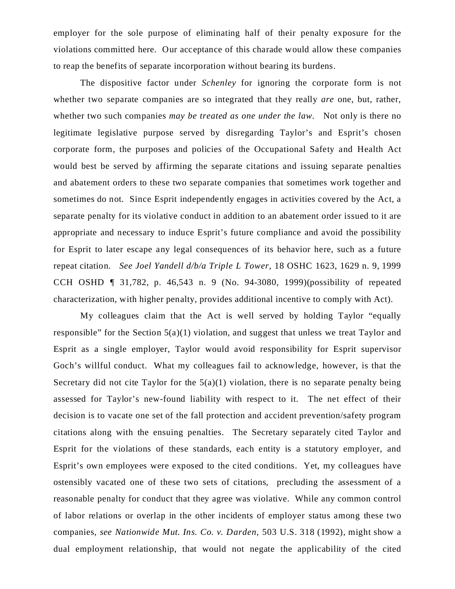employer for the sole purpose of eliminating half of their penalty exposure for the violations committed here. Our acceptance of this charade would allow these companies to reap the benefits of separate incorporation without bearing its burdens.

The dispositive factor under *Schenley* for ignoring the corporate form is not whether two separate companies are so integrated that they really *are* one, but, rather, whether two such companies *may be treated as one under the law*. Not only is there no legitimate legislative purpose served by disregarding Taylor's and Esprit's chosen corporate form*,* the purposes and policies of the Occupational Safety and Health Act would best be served by affirming the separate citations and issuing separate penalties and abatement orders to these two separate companies that sometimes work together and sometimes do not. Since Esprit independently engages in activities covered by the Act, a separate penalty for its violative conduct in addition to an abatement order issued to it are appropriate and necessary to induce Esprit's future compliance and avoid the possibility for Esprit to later escape any legal consequences of its behavior here, such as a future repeat citation. *See Joel Yandell d/b/a Triple L Tower*, 18 OSHC 1623, 1629 n. 9, 1999 CCH OSHD ¶ 31,782, p. 46,543 n. 9 (No. 94-3080, 1999)(possibility of repeated characterization, with higher penalty, provides additional incentive to comply with Act).

My colleagues claim that the Act is well served by holding Taylor "equally responsible" for the Section 5(a)(1) violation, and suggest that unless we treat Taylor and Esprit as a single employer, Taylor would avoid responsibility for Esprit supervisor Goch's willful conduct. What my colleagues fail to acknowledge, however, is that the Secretary did not cite Taylor for the  $5(a)(1)$  violation, there is no separate penalty being assessed for Taylor's new-found liability with respect to it. The net effect of their decision is to vacate one set of the fall protection and accident prevention/safety program citations along with the ensuing penalties. The Secretary separately cited Taylor and Esprit for the violations of these standards, each entity is a statutory employer, and Esprit's own employees were exposed to the cited conditions. Yet, my colleagues have ostensibly vacated one of these two sets of citations, precluding the assessment of a reasonable penalty for conduct that they agree was violative. While any common control of labor relations or overlap in the other incidents of employer status among these two companies, *see Nationwide Mut. Ins. Co. v. Darden*, 503 U.S. 318 (1992), might show a dual employment relationship, that would not negate the applicability of the cited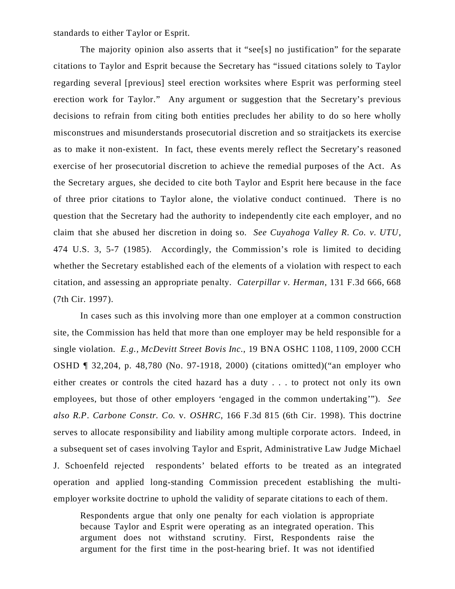standards to either Taylor or Esprit.

 The majority opinion also asserts that it "see[s] no justification" for the separate citations to Taylor and Esprit because the Secretary has "issued citations solely to Taylor regarding several [previous] steel erection worksites where Esprit was performing steel erection work for Taylor." Any argument or suggestion that the Secretary's previous decisions to refrain from citing both entities precludes her ability to do so here wholly misconstrues and misunderstands prosecutorial discretion and so straitjackets its exercise as to make it non-existent. In fact, these events merely reflect the Secretary's reasoned exercise of her prosecutorial discretion to achieve the remedial purposes of the Act. As the Secretary argues, she decided to cite both Taylor and Esprit here because in the face of three prior citations to Taylor alone, the violative conduct continued. There is no question that the Secretary had the authority to independently cite each employer, and no claim that she abused her discretion in doing so. *See Cuyahoga Valley R. Co. v. UTU*, 474 U.S. 3, 5-7 (1985). Accordingly, the Commission's role is limited to deciding whether the Secretary established each of the elements of a violation with respect to each citation, and assessing an appropriate penalty. *Caterpillar v. Herman*, 131 F.3d 666, 668 (7th Cir. 1997).

In cases such as this involving more than one employer at a common construction site, the Commission has held that more than one employer may be held responsible for a single violation. *E.g., McDevitt Street Bovis Inc.*, 19 BNA OSHC 1108, 1109, 2000 CCH OSHD ¶ 32,204, p. 48,780 (No. 97-1918, 2000) (citations omitted)("an employer who either creates or controls the cited hazard has a duty . . . to protect not only its own employees, but those of other employers 'engaged in the common undertaking'"). *See also R.P. Carbone Constr. Co.* v*. OSHRC*, 166 F.3d 815 (6th Cir. 1998). This doctrine serves to allocate responsibility and liability among multiple corporate actors. Indeed, in a subsequent set of cases involving Taylor and Esprit, Administrative Law Judge Michael J. Schoenfeld rejected respondents' belated efforts to be treated as an integrated operation and applied long-standing Commission precedent establishing the multiemployer worksite doctrine to uphold the validity of separate citations to each of them.

Respondents argue that only one penalty for each violation is appropriate because Taylor and Esprit were operating as an integrated operation. This argument does not withstand scrutiny. First, Respondents raise the argument for the first time in the post-hearing brief. It was not identified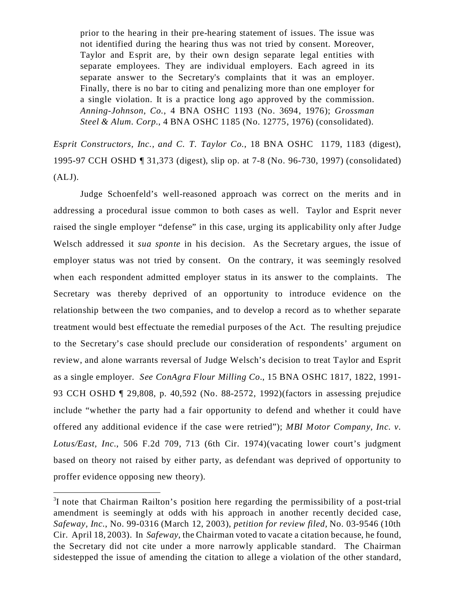prior to the hearing in their pre-hearing statement of issues. The issue was not identified during the hearing thus was not tried by consent. Moreover, Taylor and Esprit are, by their own design separate legal entities with separate employees. They are individual employers. Each agreed in its separate answer to the Secretary's complaints that it was an employer. Finally, there is no bar to citing and penalizing more than one employer for a single violation. It is a practice long ago approved by the commission. *Anning-Johnson, Co.*, 4 BNA OSHC 1193 (No. 3694, 1976); *Grossman Steel & Alum. Corp.*, 4 BNA OSHC 1185 (No. 12775, 1976) (consolidated).

*Esprit Constructors, Inc., and C. T. Taylor Co.*, 18 BNA OSHC 1179, 1183 (digest), 1995-97 CCH OSHD ¶ 31,373 (digest), slip op. at 7-8 (No. 96-730, 1997) (consolidated)  $(ALJ).$ 

Judge Schoenfeld's well-reasoned approach was correct on the merits and in addressing a procedural issue common to both cases as well. Taylor and Esprit never raised the single employer "defense" in this case, urging its applicability only after Judge Welsch addressed it *sua sponte* in his decision. As the Secretary argues, the issue of employer status was not tried by consent. On the contrary, it was seemingly resolved when each respondent admitted employer status in its answer to the complaints. The Secretary was thereby deprived of an opportunity to introduce evidence on the relationship between the two companies, and to develop a record as to whether separate treatment would best effectuate the remedial purposes of the Act. The resulting prejudice to the Secretary's case should preclude our consideration of respondents' argument on review, and alone warrants reversal of Judge Welsch's decision to treat Taylor and Esprit as a single employer. *See ConAgra Flour Milling Co.*, 15 BNA OSHC 1817, 1822, 1991- 93 CCH OSHD ¶ 29,808, p. 40,592 (No. 88-2572, 1992)(factors in assessing prejudice include "whether the party had a fair opportunity to defend and whether it could have offered any additional evidence if the case were retried"); *MBI Motor Company, Inc. v. Lotus/East, Inc.*, 506 F.2d 709, 713 (6th Cir. 1974)(vacating lower court's judgment based on theory not raised by either party, as defendant was deprived of opportunity to proffer evidence opposing new theory).

<sup>&</sup>lt;sup>3</sup>I note that Chairman Railton's position here regarding the permissibility of a post-trial amendment is seemingly at odds with his approach in another recently decided case, *Safeway, Inc.*, No. 99-0316 (March 12, 2003), *petition for review filed,* No. 03-9546 (10th Cir. April 18, 2003). In *Safeway,* the Chairman voted to vacate a citation because, he found, the Secretary did not cite under a more narrowly applicable standard. The Chairman sidestepped the issue of amending the citation to allege a violation of the other standard,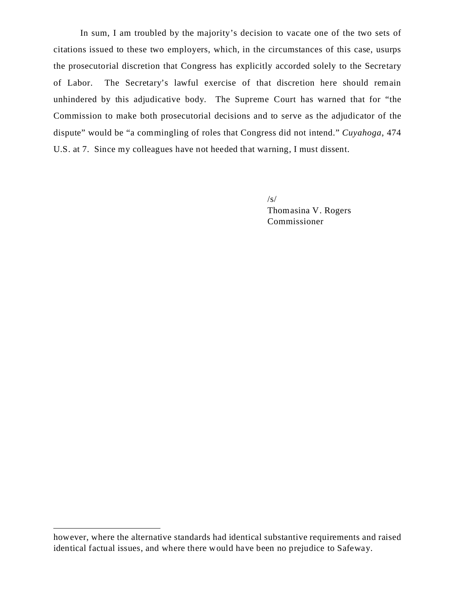In sum, I am troubled by the majority's decision to vacate one of the two sets of citations issued to these two employers, which, in the circumstances of this case, usurps the prosecutorial discretion that Congress has explicitly accorded solely to the Secretary of Labor. The Secretary's lawful exercise of that discretion here should remain unhindered by this adjudicative body. The Supreme Court has warned that for "the Commission to make both prosecutorial decisions and to serve as the adjudicator of the dispute" would be "a commingling of roles that Congress did not intend." *Cuyahoga*, 474 U.S. at 7. Since my colleagues have not heeded that warning, I must dissent.

> /s/ Thomasina V. Rogers Commissioner

however, where the alternative standards had identical substantive requirements and raised identical factual issues, and where there would have been no prejudice to Safeway.